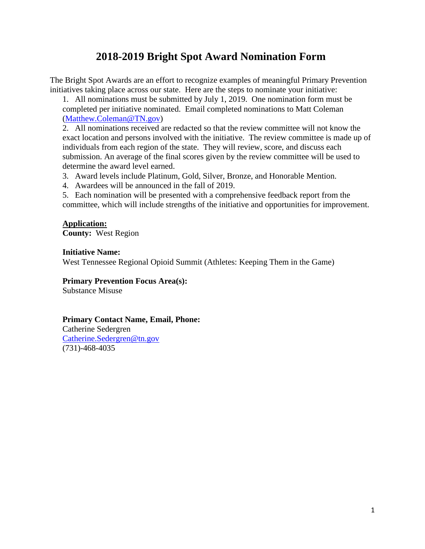# **2018-2019 Bright Spot Award Nomination Form**

The Bright Spot Awards are an effort to recognize examples of meaningful Primary Prevention initiatives taking place across our state. Here are the steps to nominate your initiative:

1. All nominations must be submitted by July 1, 2019. One nomination form must be completed per initiative nominated. Email completed nominations to Matt Coleman [\(Matthew.Coleman@TN.gov\)](mailto:Matthew.Coleman@TN.gov)

2. All nominations received are redacted so that the review committee will not know the exact location and persons involved with the initiative. The review committee is made up of individuals from each region of the state. They will review, score, and discuss each submission. An average of the final scores given by the review committee will be used to determine the award level earned.

3. Award levels include Platinum, Gold, Silver, Bronze, and Honorable Mention.

4. Awardees will be announced in the fall of 2019.

5. Each nomination will be presented with a comprehensive feedback report from the committee, which will include strengths of the initiative and opportunities for improvement.

### **Application:**

**County:** West Region

#### **Initiative Name:**

West Tennessee Regional Opioid Summit (Athletes: Keeping Them in the Game)

# **Primary Prevention Focus Area(s):**

Substance Misuse

#### **Primary Contact Name, Email, Phone:**

Catherine Sedergren [Catherine.Sedergren@tn.gov](mailto:Catherine.Sedergren@tn.gov) (731)-468-4035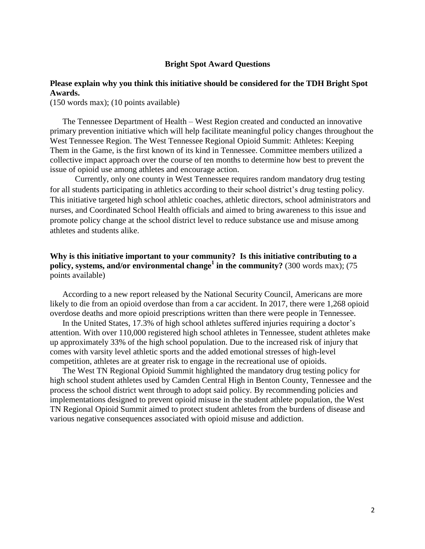#### **Bright Spot Award Questions**

# **Please explain why you think this initiative should be considered for the TDH Bright Spot Awards.**

(150 words max); (10 points available)

The Tennessee Department of Health – West Region created and conducted an innovative primary prevention initiative which will help facilitate meaningful policy changes throughout the West Tennessee Region. The West Tennessee Regional Opioid Summit: Athletes: Keeping Them in the Game, is the first known of its kind in Tennessee. Committee members utilized a collective impact approach over the course of ten months to determine how best to prevent the issue of opioid use among athletes and encourage action.

Currently, only one county in West Tennessee requires random mandatory drug testing for all students participating in athletics according to their school district's drug testing policy. This initiative targeted high school athletic coaches, athletic directors, school administrators and nurses, and Coordinated School Health officials and aimed to bring awareness to this issue and promote policy change at the school district level to reduce substance use and misuse among athletes and students alike.

## **Why is this initiative important to your community? Is this initiative contributing to a policy, systems, and/or environmental change<sup>1</sup> in the community?** (300 words max); (75 points available)

According to a new report released by the National Security Council, Americans are more likely to die from an opioid overdose than from a car accident. In 2017, there were 1,268 opioid overdose deaths and more opioid prescriptions written than there were people in Tennessee.

In the United States, 17.3% of high school athletes suffered injuries requiring a doctor's attention. With over 110,000 registered high school athletes in Tennessee, student athletes make up approximately 33% of the high school population. Due to the increased risk of injury that comes with varsity level athletic sports and the added emotional stresses of high-level competition, athletes are at greater risk to engage in the recreational use of opioids.

The West TN Regional Opioid Summit highlighted the mandatory drug testing policy for high school student athletes used by Camden Central High in Benton County, Tennessee and the process the school district went through to adopt said policy. By recommending policies and implementations designed to prevent opioid misuse in the student athlete population, the West TN Regional Opioid Summit aimed to protect student athletes from the burdens of disease and various negative consequences associated with opioid misuse and addiction.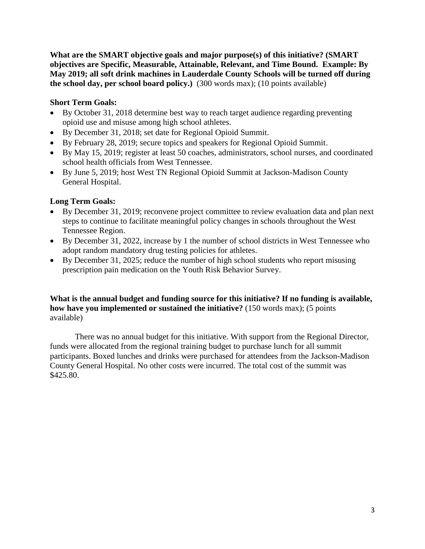**What are the SMART objective goals and major purpose(s) of this initiative? (SMART objectives are Specific, Measurable, Attainable, Relevant, and Time Bound. Example: By May 2019; all soft drink machines in Lauderdale County Schools will be turned off during the school day, per school board policy.)** (300 words max); (10 points available)

# **Short Term Goals:**

- By October 31, 2018 determine best way to reach target audience regarding preventing opioid use and misuse among high school athletes.
- By December 31, 2018; set date for Regional Opioid Summit.
- By February 28, 2019; secure topics and speakers for Regional Opioid Summit.
- By May 15, 2019; register at least 50 coaches, administrators, school nurses, and coordinated school health officials from West Tennessee.
- By June 5, 2019; host West TN Regional Opioid Summit at Jackson-Madison County General Hospital.

# **Long Term Goals:**

- By December 31, 2019; reconvene project committee to review evaluation data and plan next steps to continue to facilitate meaningful policy changes in schools throughout the West Tennessee Region.
- By December 31, 2022, increase by 1 the number of school districts in West Tennessee who adopt random mandatory drug testing policies for athletes.
- By December 31, 2025; reduce the number of high school students who report misusing prescription pain medication on the Youth Risk Behavior Survey.

**What is the annual budget and funding source for this initiative? If no funding is available, how have you implemented or sustained the initiative?** (150 words max); (5 points available)

There was no annual budget for this initiative. With support from the Regional Director, funds were allocated from the regional training budget to purchase lunch for all summit participants. Boxed lunches and drinks were purchased for attendees from the Jackson-Madison County General Hospital. No other costs were incurred. The total cost of the summit was \$425.80.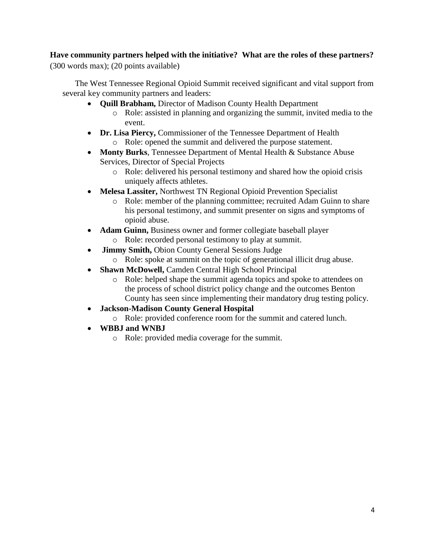# **Have community partners helped with the initiative? What are the roles of these partners?**  (300 words max); (20 points available)

The West Tennessee Regional Opioid Summit received significant and vital support from several key community partners and leaders:

- **Quill Brabham,** Director of Madison County Health Department
	- o Role: assisted in planning and organizing the summit, invited media to the event.
- **Dr. Lisa Piercy,** Commissioner of the Tennessee Department of Health
	- o Role: opened the summit and delivered the purpose statement.
- **Monty Burks**, Tennessee Department of Mental Health & Substance Abuse Services, Director of Special Projects
	- o Role: delivered his personal testimony and shared how the opioid crisis uniquely affects athletes.
- **Melesa Lassiter,** Northwest TN Regional Opioid Prevention Specialist
	- o Role: member of the planning committee; recruited Adam Guinn to share his personal testimony, and summit presenter on signs and symptoms of opioid abuse.
- **Adam Guinn, Business owner and former collegiate baseball player** o Role: recorded personal testimony to play at summit.
- **Jimmy Smith,** Obion County General Sessions Judge
	- o Role: spoke at summit on the topic of generational illicit drug abuse.
- **Shawn McDowell,** Camden Central High School Principal
	- o Role: helped shape the summit agenda topics and spoke to attendees on the process of school district policy change and the outcomes Benton County has seen since implementing their mandatory drug testing policy.
- **Jackson-Madison County General Hospital**
	- o Role: provided conference room for the summit and catered lunch.
- **WBBJ and WNBJ**
	- o Role: provided media coverage for the summit.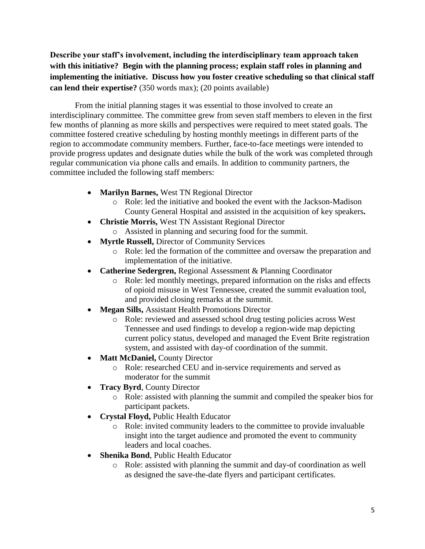**Describe your staff's involvement, including the interdisciplinary team approach taken with this initiative? Begin with the planning process; explain staff roles in planning and implementing the initiative. Discuss how you foster creative scheduling so that clinical staff can lend their expertise?** (350 words max); (20 points available)

From the initial planning stages it was essential to those involved to create an interdisciplinary committee. The committee grew from seven staff members to eleven in the first few months of planning as more skills and perspectives were required to meet stated goals. The committee fostered creative scheduling by hosting monthly meetings in different parts of the region to accommodate community members. Further, face-to-face meetings were intended to provide progress updates and designate duties while the bulk of the work was completed through regular communication via phone calls and emails. In addition to community partners, the committee included the following staff members:

- **Marilyn Barnes,** West TN Regional Director
	- o Role: led the initiative and booked the event with the Jackson-Madison County General Hospital and assisted in the acquisition of key speakers**.**
- **Christie Morris,** West TN Assistant Regional Director
	- o Assisted in planning and securing food for the summit.
- **Myrtle Russell,** Director of Community Services
	- o Role: led the formation of the committee and oversaw the preparation and implementation of the initiative.
- **Catherine Sedergren,** Regional Assessment & Planning Coordinator
	- o Role: led monthly meetings, prepared information on the risks and effects of opioid misuse in West Tennessee, created the summit evaluation tool, and provided closing remarks at the summit.
- **Megan Sills,** Assistant Health Promotions Director
	- o Role: reviewed and assessed school drug testing policies across West Tennessee and used findings to develop a region-wide map depicting current policy status, developed and managed the Event Brite registration system, and assisted with day-of coordination of the summit.
- Matt McDaniel, County Director
	- o Role: researched CEU and in-service requirements and served as moderator for the summit
- **Tracy Byrd, County Director** 
	- o Role: assisted with planning the summit and compiled the speaker bios for participant packets.
- **Crystal Floyd,** Public Health Educator
	- o Role: invited community leaders to the committee to provide invaluable insight into the target audience and promoted the event to community leaders and local coaches.
- **Shenika Bond**, Public Health Educator
	- o Role: assisted with planning the summit and day-of coordination as well as designed the save-the-date flyers and participant certificates.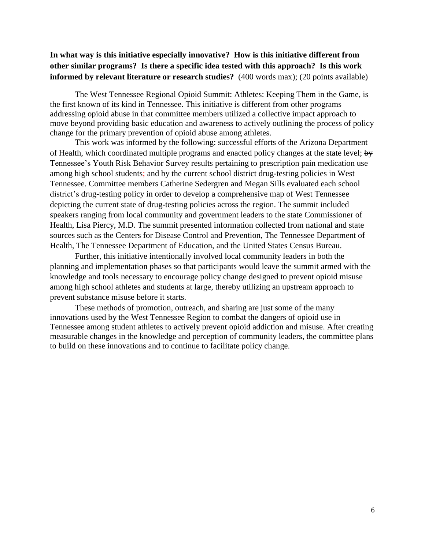# **In what way is this initiative especially innovative? How is this initiative different from other similar programs? Is there a specific idea tested with this approach? Is this work informed by relevant literature or research studies?** (400 words max); (20 points available)

The West Tennessee Regional Opioid Summit: Athletes: Keeping Them in the Game, is the first known of its kind in Tennessee. This initiative is different from other programs addressing opioid abuse in that committee members utilized a collective impact approach to move beyond providing basic education and awareness to actively outlining the process of policy change for the primary prevention of opioid abuse among athletes.

This work was informed by the following: successful efforts of the Arizona Department of Health, which coordinated multiple programs and enacted policy changes at the state level; by Tennessee's Youth Risk Behavior Survey results pertaining to prescription pain medication use among high school students; and by the current school district drug-testing policies in West Tennessee. Committee members Catherine Sedergren and Megan Sills evaluated each school district's drug-testing policy in order to develop a comprehensive map of West Tennessee depicting the current state of drug-testing policies across the region. The summit included speakers ranging from local community and government leaders to the state Commissioner of Health, Lisa Piercy, M.D. The summit presented information collected from national and state sources such as the Centers for Disease Control and Prevention, The Tennessee Department of Health, The Tennessee Department of Education, and the United States Census Bureau.

Further, this initiative intentionally involved local community leaders in both the planning and implementation phases so that participants would leave the summit armed with the knowledge and tools necessary to encourage policy change designed to prevent opioid misuse among high school athletes and students at large, thereby utilizing an upstream approach to prevent substance misuse before it starts.

These methods of promotion, outreach, and sharing are just some of the many innovations used by the West Tennessee Region to combat the dangers of opioid use in Tennessee among student athletes to actively prevent opioid addiction and misuse. After creating measurable changes in the knowledge and perception of community leaders, the committee plans to build on these innovations and to continue to facilitate policy change.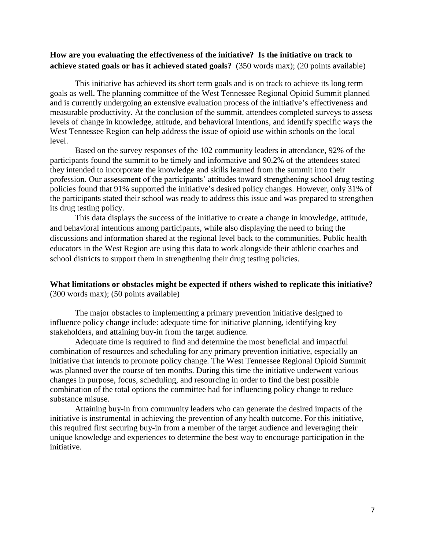## **How are you evaluating the effectiveness of the initiative? Is the initiative on track to achieve stated goals or has it achieved stated goals?** (350 words max); (20 points available)

This initiative has achieved its short term goals and is on track to achieve its long term goals as well. The planning committee of the West Tennessee Regional Opioid Summit planned and is currently undergoing an extensive evaluation process of the initiative's effectiveness and measurable productivity. At the conclusion of the summit, attendees completed surveys to assess levels of change in knowledge, attitude, and behavioral intentions, and identify specific ways the West Tennessee Region can help address the issue of opioid use within schools on the local level.

Based on the survey responses of the 102 community leaders in attendance, 92% of the participants found the summit to be timely and informative and 90.2% of the attendees stated they intended to incorporate the knowledge and skills learned from the summit into their profession. Our assessment of the participants' attitudes toward strengthening school drug testing policies found that 91% supported the initiative's desired policy changes. However, only 31% of the participants stated their school was ready to address this issue and was prepared to strengthen its drug testing policy.

This data displays the success of the initiative to create a change in knowledge, attitude, and behavioral intentions among participants, while also displaying the need to bring the discussions and information shared at the regional level back to the communities. Public health educators in the West Region are using this data to work alongside their athletic coaches and school districts to support them in strengthening their drug testing policies.

#### **What limitations or obstacles might be expected if others wished to replicate this initiative?**  (300 words max); (50 points available)

The major obstacles to implementing a primary prevention initiative designed to influence policy change include: adequate time for initiative planning, identifying key stakeholders, and attaining buy-in from the target audience.

Adequate time is required to find and determine the most beneficial and impactful combination of resources and scheduling for any primary prevention initiative, especially an initiative that intends to promote policy change. The West Tennessee Regional Opioid Summit was planned over the course of ten months. During this time the initiative underwent various changes in purpose, focus, scheduling, and resourcing in order to find the best possible combination of the total options the committee had for influencing policy change to reduce substance misuse.

Attaining buy-in from community leaders who can generate the desired impacts of the initiative is instrumental in achieving the prevention of any health outcome. For this initiative, this required first securing buy-in from a member of the target audience and leveraging their unique knowledge and experiences to determine the best way to encourage participation in the initiative.